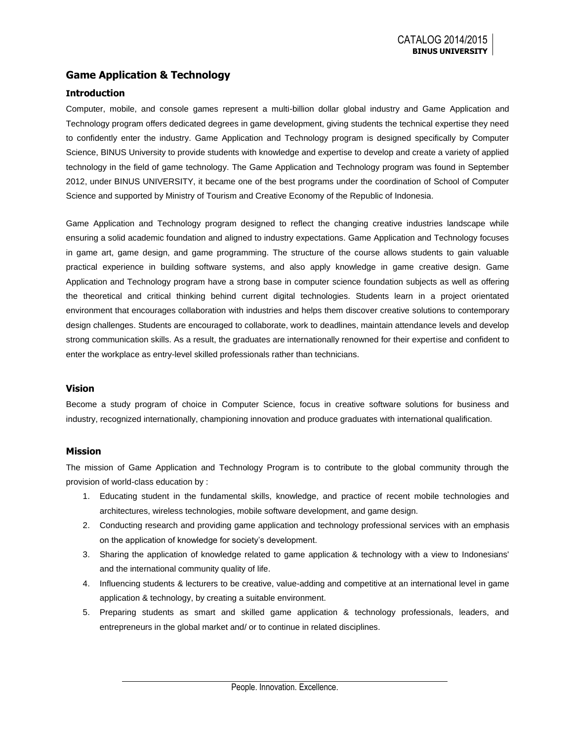## **Game Application & Technology**

#### **Introduction**

Computer, mobile, and console games represent a multi-billion dollar global industry and Game Application and Technology program offers dedicated degrees in game development, giving students the technical expertise they need to confidently enter the industry. Game Application and Technology program is designed specifically by Computer Science, BINUS University to provide students with knowledge and expertise to develop and create a variety of applied technology in the field of game technology. The Game Application and Technology program was found in September 2012, under BINUS UNIVERSITY, it became one of the best programs under the coordination of School of Computer Science and supported by Ministry of Tourism and Creative Economy of the Republic of Indonesia.

Game Application and Technology program designed to reflect the changing creative industries landscape while ensuring a solid academic foundation and aligned to industry expectations. Game Application and Technology focuses in game art, game design, and game programming. The structure of the course allows students to gain valuable practical experience in building software systems, and also apply knowledge in game creative design. Game Application and Technology program have a strong base in computer science foundation subjects as well as offering the theoretical and critical thinking behind current digital technologies. Students learn in a project orientated environment that encourages collaboration with industries and helps them discover creative solutions to contemporary design challenges. Students are encouraged to collaborate, work to deadlines, maintain attendance levels and develop strong communication skills. As a result, the graduates are internationally renowned for their expertise and confident to enter the workplace as entry-level skilled professionals rather than technicians.

#### **Vision**

Become a study program of choice in Computer Science, focus in creative software solutions for business and industry, recognized internationally, championing innovation and produce graduates with international qualification.

#### **Mission**

The mission of Game Application and Technology Program is to contribute to the global community through the provision of world-class education by :

- 1. Educating student in the fundamental skills, knowledge, and practice of recent mobile technologies and architectures, wireless technologies, mobile software development, and game design.
- 2. Conducting research and providing game application and technology professional services with an emphasis on the application of knowledge for society's development.
- 3. Sharing the application of knowledge related to game application & technology with a view to Indonesians' and the international community quality of life.
- 4. Influencing students & lecturers to be creative, value-adding and competitive at an international level in game application & technology, by creating a suitable environment.
- 5. Preparing students as smart and skilled game application & technology professionals, leaders, and entrepreneurs in the global market and/ or to continue in related disciplines.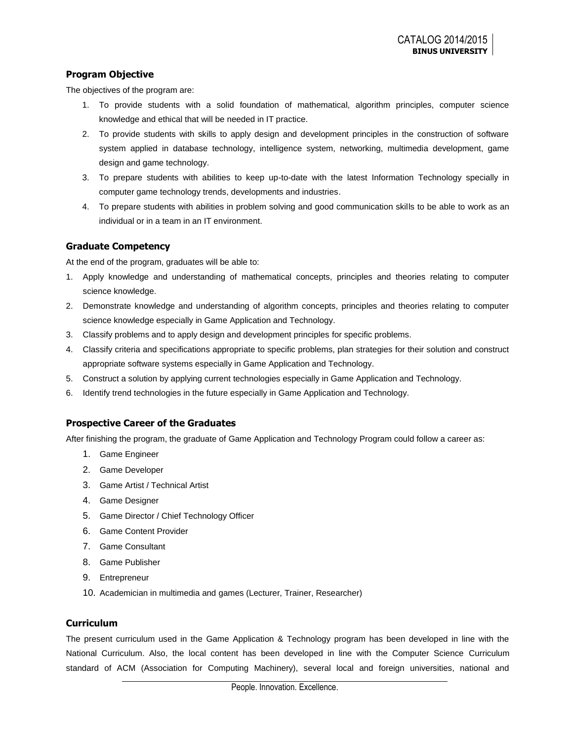### **Program Objective**

The objectives of the program are:

- 1. To provide students with a solid foundation of mathematical, algorithm principles, computer science knowledge and ethical that will be needed in IT practice.
- 2. To provide students with skills to apply design and development principles in the construction of software system applied in database technology, intelligence system, networking, multimedia development, game design and game technology.
- 3. To prepare students with abilities to keep up-to-date with the latest Information Technology specially in computer game technology trends, developments and industries.
- 4. To prepare students with abilities in problem solving and good communication skills to be able to work as an individual or in a team in an IT environment.

## **Graduate Competency**

At the end of the program, graduates will be able to:

- 1. Apply knowledge and understanding of mathematical concepts, principles and theories relating to computer science knowledge.
- 2. Demonstrate knowledge and understanding of algorithm concepts, principles and theories relating to computer science knowledge especially in Game Application and Technology.
- 3. Classify problems and to apply design and development principles for specific problems.
- 4. Classify criteria and specifications appropriate to specific problems, plan strategies for their solution and construct appropriate software systems especially in Game Application and Technology.
- 5. Construct a solution by applying current technologies especially in Game Application and Technology.
- 6. Identify trend technologies in the future especially in Game Application and Technology.

### **Prospective Career of the Graduates**

After finishing the program, the graduate of Game Application and Technology Program could follow a career as:

- 1. Game Engineer
- 2. Game Developer
- 3. Game Artist / Technical Artist
- 4. Game Designer
- 5. Game Director / Chief Technology Officer
- 6. Game Content Provider
- 7. Game Consultant
- 8. Game Publisher
- 9. Entrepreneur
- 10. Academician in multimedia and games (Lecturer, Trainer, Researcher)

## **Curriculum**

The present curriculum used in the Game Application & Technology program has been developed in line with the National Curriculum. Also, the local content has been developed in line with the Computer Science Curriculum standard of ACM (Association for Computing Machinery), several local and foreign universities, national and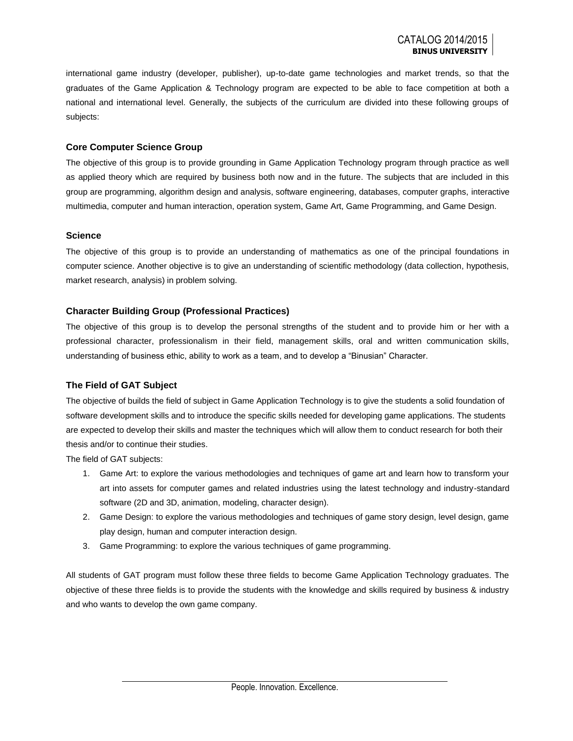international game industry (developer, publisher), up-to-date game technologies and market trends, so that the graduates of the Game Application & Technology program are expected to be able to face competition at both a national and international level. Generally, the subjects of the curriculum are divided into these following groups of subjects:

#### **Core Computer Science Group**

The objective of this group is to provide grounding in Game Application Technology program through practice as well as applied theory which are required by business both now and in the future. The subjects that are included in this group are programming, algorithm design and analysis, software engineering, databases, computer graphs, interactive multimedia, computer and human interaction, operation system, Game Art, Game Programming, and Game Design.

#### **Science**

The objective of this group is to provide an understanding of mathematics as one of the principal foundations in computer science. Another objective is to give an understanding of scientific methodology (data collection, hypothesis, market research, analysis) in problem solving.

#### **Character Building Group (Professional Practices)**

The objective of this group is to develop the personal strengths of the student and to provide him or her with a professional character, professionalism in their field, management skills, oral and written communication skills, understanding of business ethic, ability to work as a team, and to develop a "Binusian" Character.

#### **The Field of GAT Subject**

The objective of builds the field of subject in Game Application Technology is to give the students a solid foundation of software development skills and to introduce the specific skills needed for developing game applications. The students are expected to develop their skills and master the techniques which will allow them to conduct research for both their thesis and/or to continue their studies.

The field of GAT subjects:

- 1. Game Art: to explore the various methodologies and techniques of game art and learn how to transform your art into assets for computer games and related industries using the latest technology and industry-standard software (2D and 3D, animation, modeling, character design).
- 2. Game Design: to explore the various methodologies and techniques of game story design, level design, game play design, human and computer interaction design.
- 3. Game Programming: to explore the various techniques of game programming.

All students of GAT program must follow these three fields to become Game Application Technology graduates. The objective of these three fields is to provide the students with the knowledge and skills required by business & industry and who wants to develop the own game company.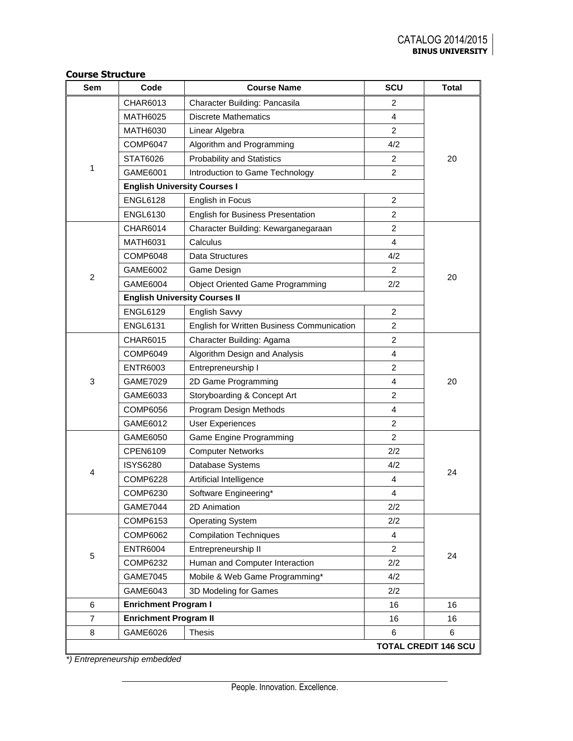| Sem | Code                                 | <b>Course Name</b>                         | SCU            | <b>Total</b>                |
|-----|--------------------------------------|--------------------------------------------|----------------|-----------------------------|
|     | CHAR6013                             | Character Building: Pancasila              | 2              |                             |
|     | <b>MATH6025</b>                      | <b>Discrete Mathematics</b>                | $\overline{4}$ |                             |
|     | <b>MATH6030</b>                      | Linear Algebra                             | $\overline{c}$ |                             |
|     | <b>COMP6047</b>                      | Algorithm and Programming                  | 4/2            |                             |
|     | STAT6026                             | <b>Probability and Statistics</b>          | 2              | 20                          |
| 1   | GAME6001                             | Introduction to Game Technology            | $\overline{2}$ |                             |
|     | <b>English University Courses I</b>  |                                            |                |                             |
|     | <b>ENGL6128</b>                      | English in Focus                           | 2              |                             |
|     | <b>ENGL6130</b>                      | <b>English for Business Presentation</b>   | $\overline{2}$ |                             |
|     | <b>CHAR6014</b>                      | Character Building: Kewarganegaraan        | $\overline{2}$ |                             |
|     | <b>MATH6031</b>                      | Calculus                                   | $\overline{4}$ |                             |
|     | <b>COMP6048</b>                      | Data Structures                            | 4/2            |                             |
|     | GAME6002                             | Game Design                                | 2              |                             |
| 2   | GAME6004                             | <b>Object Oriented Game Programming</b>    | 2/2            | 20                          |
|     | <b>English University Courses II</b> |                                            |                |                             |
|     | <b>ENGL6129</b>                      | English Savvy                              | 2              |                             |
|     | <b>ENGL6131</b>                      | English for Written Business Communication | $\overline{2}$ |                             |
|     | <b>CHAR6015</b>                      | Character Building: Agama                  | $\overline{c}$ | 20                          |
|     | COMP6049                             | Algorithm Design and Analysis              | $\overline{4}$ |                             |
|     | <b>ENTR6003</b>                      | Entrepreneurship I                         | $\overline{c}$ |                             |
| 3   | <b>GAME7029</b>                      | 2D Game Programming                        | $\overline{4}$ |                             |
|     | GAME6033                             | Storyboarding & Concept Art                | $\overline{c}$ |                             |
|     | COMP6056                             | Program Design Methods                     | $\overline{4}$ |                             |
|     | GAME6012                             | <b>User Experiences</b>                    | 2              |                             |
|     | GAME6050                             | Game Engine Programming                    | $\overline{2}$ |                             |
|     | CPEN6109                             | <b>Computer Networks</b>                   | 2/2            |                             |
| 4   | <b>ISYS6280</b>                      | Database Systems                           | 4/2            | 24                          |
|     | COMP6228                             | Artificial Intelligence                    | 4              |                             |
|     | COMP6230                             | Software Engineering*                      | $\overline{4}$ |                             |
|     | <b>GAME7044</b>                      | 2D Animation                               | 2/2            |                             |
|     | COMP6153                             | <b>Operating System</b>                    | 2/2            |                             |
|     | COMP6062                             | <b>Compilation Techniques</b>              | 4              |                             |
|     | <b>ENTR6004</b>                      | Entrepreneurship II                        | $\overline{2}$ | 24                          |
| 5   | COMP6232                             | Human and Computer Interaction             | 2/2            |                             |
|     | <b>GAME7045</b>                      | Mobile & Web Game Programming*             | 4/2            |                             |
|     | GAME6043                             | 3D Modeling for Games                      | 2/2            |                             |
| 6   | <b>Enrichment Program I</b>          |                                            | 16             | 16                          |
| 7   | <b>Enrichment Program II</b>         |                                            | 16             | 16                          |
| 8   | GAME6026                             | Thesis                                     | 6              | 6                           |
|     |                                      |                                            |                | <b>TOTAL CREDIT 146 SCU</b> |

*\*) Entrepreneurship embedded*

**Course Structure**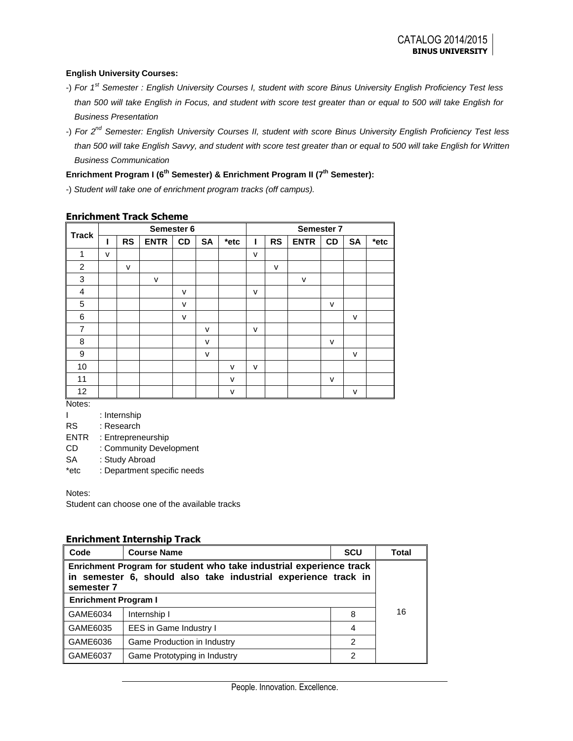#### **English University Courses:**

- -) *For 1st Semester : English University Courses I, student with score Binus University English Proficiency Test less than 500 will take English in Focus, and student with score test greater than or equal to 500 will take English for Business Presentation*
- -) *For 2nd Semester: English University Courses II, student with score Binus University English Proficiency Test less than 500 will take English Savvy, and student with score test greater than or equal to 500 will take English for Written Business Communication*

## **Enrichment Program I (6th Semester) & Enrichment Program II (7th Semester):**

-) *Student will take one of enrichment program tracks (off campus).*

| <b>Track</b>   | Semester 6 |           |              |        | Semester 7   |        |   |           |              |              |           |      |
|----------------|------------|-----------|--------------|--------|--------------|--------|---|-----------|--------------|--------------|-----------|------|
|                | ш          | <b>RS</b> | <b>ENTR</b>  | CD     | <b>SA</b>    | *etc   | ı | <b>RS</b> | <b>ENTR</b>  | <b>CD</b>    | <b>SA</b> | *etc |
| 1              | $\vee$     |           |              |        |              |        | v |           |              |              |           |      |
| 2              |            | v         |              |        |              |        |   | v         |              |              |           |      |
| 3              |            |           | $\mathsf{v}$ |        |              |        |   |           | $\mathsf{v}$ |              |           |      |
| 4              |            |           |              | v      |              |        | v |           |              |              |           |      |
| 5              |            |           |              | v      |              |        |   |           |              | $\mathsf{v}$ |           |      |
| 6              |            |           |              | $\vee$ |              |        |   |           |              |              | v         |      |
| $\overline{7}$ |            |           |              |        | v            |        | v |           |              |              |           |      |
| 8              |            |           |              |        | v            |        |   |           |              | $\mathsf{v}$ |           |      |
| 9              |            |           |              |        | $\mathsf{v}$ |        |   |           |              |              | v         |      |
| 10             |            |           |              |        |              | v      | v |           |              |              |           |      |
| 11             |            |           |              |        |              | $\vee$ |   |           |              | $\mathsf{v}$ |           |      |
| 12             |            |           |              |        |              | v      |   |           |              |              | v         |      |

#### **Enrichment Track Scheme**

Notes:

I : Internship

RS : Research

ENTR : Entrepreneurship

CD : Community Development

SA : Study Abroad

\*etc : Department specific needs

Notes:

Student can choose one of the available tracks

### **Enrichment Internship Track**

| Code                                                                                                                                                | <b>Course Name</b>            | <b>SCU</b> | Total |  |
|-----------------------------------------------------------------------------------------------------------------------------------------------------|-------------------------------|------------|-------|--|
| Enrichment Program for student who take industrial experience track<br>in semester 6, should also take industrial experience track in<br>semester 7 |                               |            |       |  |
| <b>Enrichment Program I</b>                                                                                                                         |                               |            |       |  |
| GAME6034                                                                                                                                            | Internship I                  | 8          | 16    |  |
| GAME6035                                                                                                                                            | <b>EES</b> in Game Industry I | 4          |       |  |
| GAME6036                                                                                                                                            | Game Production in Industry   | 2          |       |  |
| GAME6037                                                                                                                                            | Game Prototyping in Industry  | 2          |       |  |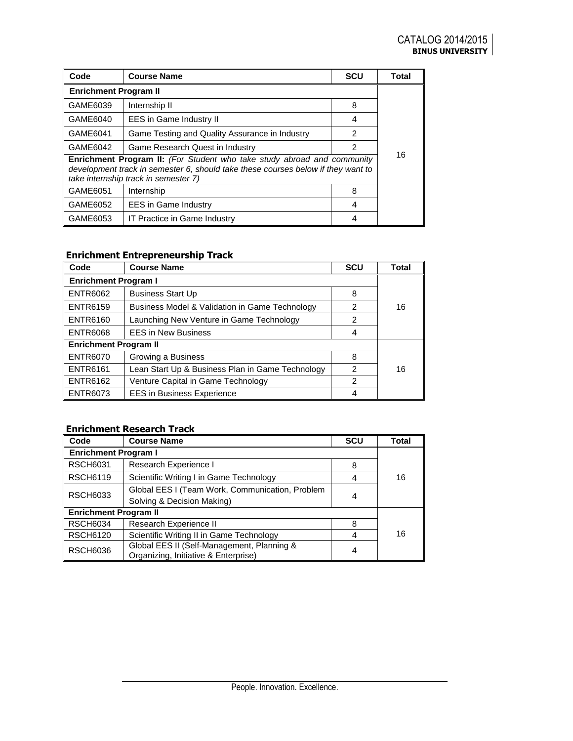| Code                                                                                                                                                                                                       | <b>Course Name</b>                             | <b>SCU</b> | <b>Total</b> |  |
|------------------------------------------------------------------------------------------------------------------------------------------------------------------------------------------------------------|------------------------------------------------|------------|--------------|--|
| <b>Enrichment Program II</b>                                                                                                                                                                               |                                                |            |              |  |
| GAME6039                                                                                                                                                                                                   | Internship II                                  | 8          |              |  |
| GAME6040                                                                                                                                                                                                   | EES in Game Industry II                        | 4          |              |  |
| GAME6041                                                                                                                                                                                                   | Game Testing and Quality Assurance in Industry | 2          |              |  |
| GAME6042                                                                                                                                                                                                   | Game Research Quest in Industry                | 2          |              |  |
| <b>Enrichment Program II:</b> (For Student who take study abroad and community<br>development track in semester 6, should take these courses below if they want to<br>take internship track in semester 7) |                                                |            | 16           |  |
| GAME6051                                                                                                                                                                                                   | Internship                                     | 8          |              |  |
| GAME6052                                                                                                                                                                                                   | <b>EES</b> in Game Industry                    | 4          |              |  |
| GAME6053                                                                                                                                                                                                   | IT Practice in Game Industry                   | 4          |              |  |

# **Enrichment Entrepreneurship Track**

| Code                         | <b>Course Name</b>                                        | <b>SCU</b> | Total |  |
|------------------------------|-----------------------------------------------------------|------------|-------|--|
| <b>Enrichment Program I</b>  |                                                           |            |       |  |
| <b>ENTR6062</b>              | <b>Business Start Up</b>                                  | 8          |       |  |
| <b>ENTR6159</b>              | <b>Business Model &amp; Validation in Game Technology</b> | 2          | 16    |  |
| <b>ENTR6160</b>              | Launching New Venture in Game Technology                  | 2          |       |  |
| <b>ENTR6068</b>              | <b>EES in New Business</b>                                | 4          |       |  |
| <b>Enrichment Program II</b> |                                                           |            |       |  |
| <b>ENTR6070</b>              | Growing a Business                                        | 8          |       |  |
| <b>ENTR6161</b>              | Lean Start Up & Business Plan in Game Technology          | 2          | 16    |  |
| <b>ENTR6162</b>              | Venture Capital in Game Technology                        | 2          |       |  |
| <b>ENTR6073</b>              | <b>EES</b> in Business Experience                         | 4          |       |  |

## **Enrichment Research Track**

| Code                         | <b>Course Name</b>                                                                 | <b>SCU</b> | <b>Total</b> |  |
|------------------------------|------------------------------------------------------------------------------------|------------|--------------|--|
| <b>Enrichment Program I</b>  |                                                                                    |            |              |  |
| <b>RSCH6031</b>              | Research Experience I                                                              | 8          |              |  |
| <b>RSCH6119</b>              | Scientific Writing I in Game Technology                                            | 4          | 16           |  |
| <b>RSCH6033</b>              | Global EES I (Team Work, Communication, Problem                                    |            |              |  |
|                              | Solving & Decision Making)                                                         |            |              |  |
| <b>Enrichment Program II</b> |                                                                                    |            |              |  |
| <b>RSCH6034</b>              | Research Experience II                                                             | 8          |              |  |
| <b>RSCH6120</b>              | Scientific Writing II in Game Technology                                           |            | 16           |  |
| <b>RSCH6036</b>              | Global EES II (Self-Management, Planning &<br>Organizing, Initiative & Enterprise) | 4          |              |  |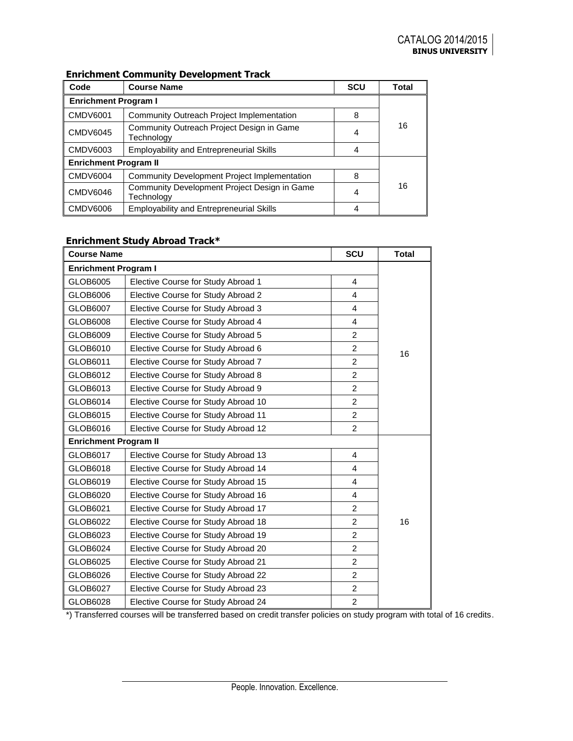## **Enrichment Community Development Track**

| Code                         | <b>Course Name</b>                                         | <b>SCU</b> | Total |  |
|------------------------------|------------------------------------------------------------|------------|-------|--|
| <b>Enrichment Program I</b>  |                                                            |            |       |  |
| <b>CMDV6001</b>              | Community Outreach Project Implementation                  | 8          |       |  |
| <b>CMDV6045</b>              | Community Outreach Project Design in Game<br>Technology    | 4          | 16    |  |
| <b>CMDV6003</b>              | <b>Employability and Entrepreneurial Skills</b>            | 4          |       |  |
| <b>Enrichment Program II</b> |                                                            |            |       |  |
| <b>CMDV6004</b>              | <b>Community Development Project Implementation</b>        | 8          |       |  |
| <b>CMDV6046</b>              | Community Development Project Design in Game<br>Technology | 4          | 16    |  |
| <b>CMDV6006</b>              | <b>Employability and Entrepreneurial Skills</b>            |            |       |  |

## **Enrichment Study Abroad Track\***

| <b>Course Name</b>           |                                     | SCU            | <b>Total</b> |
|------------------------------|-------------------------------------|----------------|--------------|
| <b>Enrichment Program I</b>  |                                     |                |              |
| GLOB6005                     | Elective Course for Study Abroad 1  | 4              |              |
| GLOB6006                     | Elective Course for Study Abroad 2  | 4              |              |
| GLOB6007                     | Elective Course for Study Abroad 3  | 4              |              |
| GLOB6008                     | Elective Course for Study Abroad 4  | 4              |              |
| GLOB6009                     | Elective Course for Study Abroad 5  | $\overline{2}$ |              |
| GLOB6010                     | Elective Course for Study Abroad 6  | $\overline{2}$ | 16           |
| GLOB6011                     | Elective Course for Study Abroad 7  | $\overline{2}$ |              |
| GLOB6012                     | Elective Course for Study Abroad 8  | $\overline{2}$ |              |
| GLOB6013                     | Elective Course for Study Abroad 9  | $\overline{2}$ |              |
| GLOB6014                     | Elective Course for Study Abroad 10 | $\overline{2}$ |              |
| GLOB6015                     | Elective Course for Study Abroad 11 | $\overline{2}$ |              |
| GLOB6016                     | Elective Course for Study Abroad 12 | $\overline{2}$ |              |
| <b>Enrichment Program II</b> |                                     |                |              |
| GLOB6017                     | Elective Course for Study Abroad 13 | 4              |              |
| GLOB6018                     | Elective Course for Study Abroad 14 | 4              |              |
| GLOB6019                     | Elective Course for Study Abroad 15 | 4              |              |
| GLOB6020                     | Elective Course for Study Abroad 16 | 4              |              |
| GLOB6021                     | Elective Course for Study Abroad 17 | $\overline{2}$ |              |
| GLOB6022                     | Elective Course for Study Abroad 18 | $\overline{2}$ | 16           |
| GLOB6023                     | Elective Course for Study Abroad 19 | $\overline{c}$ |              |
| GLOB6024                     | Elective Course for Study Abroad 20 | $\overline{2}$ |              |
| GLOB6025                     | Elective Course for Study Abroad 21 | $\overline{2}$ |              |
| GLOB6026                     | Elective Course for Study Abroad 22 | $\overline{2}$ |              |
| GLOB6027                     | Elective Course for Study Abroad 23 | $\overline{2}$ |              |
| GLOB6028                     | Elective Course for Study Abroad 24 | $\overline{2}$ |              |

\*) Transferred courses will be transferred based on credit transfer policies on study program with total of 16 credits.